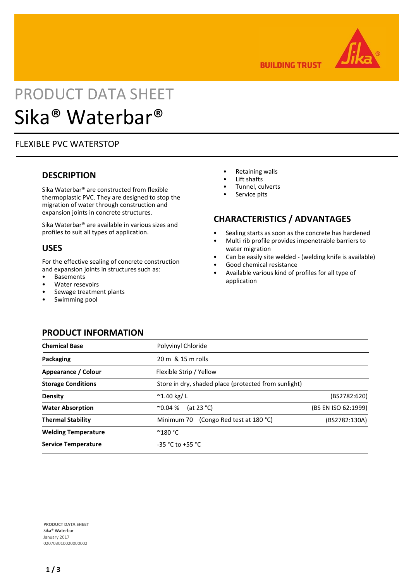

**BUILDING TRUST** 

# PRODUCT DATA SHEET Sika® Waterbar®

## FLEXIBLE PVC WATERSTOP

## **DESCRIPTION**

Sika Waterbar® are constructed from flexible thermoplastic PVC. They are designed to stop the migration of water through construction and expansion joints in concrete structures.

Sika Waterbar® are available in various sizes and profiles to suit all types of application.

## **USES**

For the effective sealing of concrete construction and expansion joints in structures such as:

- **Basements**
- Water resevoirs
- Sewage treatment plants
- Swimming pool
- Retaining walls
- Lift shafts
- Tunnel, culverts
- Service pits

## **CHARACTERISTICS / ADVANTAGES**

- Sealing starts as soon as the concrete has hardened
- Multi rib profile provides impenetrable barriers to water migration
- Can be easily site welded (welding knife is available)
- Good chemical resistance
- Available various kind of profiles for all type of application

## **PRODUCT INFORMATION**

| <b>Chemical Base</b>       | Polyvinyl Chloride                                   |                     |
|----------------------------|------------------------------------------------------|---------------------|
| Packaging                  | $20 \text{ m}$ & 15 m rolls                          |                     |
| Appearance / Colour        | Flexible Strip / Yellow                              |                     |
| <b>Storage Conditions</b>  | Store in dry, shaded place (protected from sunlight) |                     |
| Density                    | $^{\sim}$ 1.40 kg/L                                  | (BS2782:620)        |
| <b>Water Absorption</b>    | (at 23 $°C$ )<br>$^{\sim}0.04\%$                     | (BS EN ISO 62:1999) |
| <b>Thermal Stability</b>   | Minimum 70 (Congo Red test at 180 °C)                | (BS2782:130A)       |
| <b>Welding Temperature</b> | $^{\circ}$ 180 $^{\circ}$ C                          |                     |
| <b>Service Temperature</b> | $-35 °C$ to $+55 °C$                                 |                     |

**PRODUCT DATA SHEET** Sika® Waterbar January 2017 020703010020000002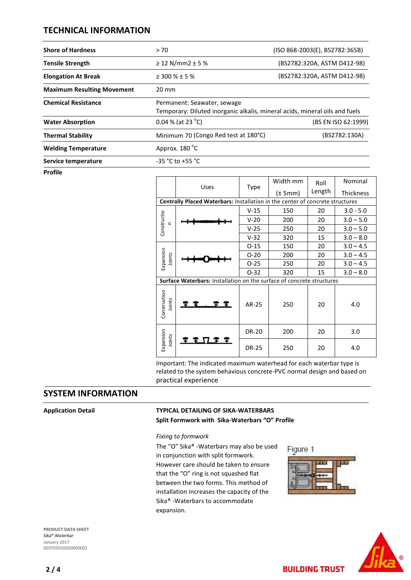## **TECHNICAL INFORMATION**

| <b>Shore of Hardness</b>          | >70                                                                                                        | (ISO 868-2003(E), BS2782:365B) |  |
|-----------------------------------|------------------------------------------------------------------------------------------------------------|--------------------------------|--|
| <b>Tensile Strength</b>           | ≥ 12 N/mm2 ± 5 %                                                                                           | (BS2782:320A, ASTM D412-98)    |  |
| <b>Elongation At Break</b>        | $\geq$ 300 % $\pm$ 5 %                                                                                     | (BS2782:320A, ASTM D412-98)    |  |
| <b>Maximum Resulting Movement</b> | $20 \text{ mm}$                                                                                            |                                |  |
| <b>Chemical Resistance</b>        | Permanent: Seawater, sewage<br>Temporary: Diluted inorganic alkalis, mineral acids, mineral oils and fuels |                                |  |
| <b>Water Absorption</b>           | 0.04 % (at 23 $^{\circ}$ C)                                                                                | (BS EN ISO 62:1999)            |  |
| <b>Thermal Stability</b>          | Minimum 70 (Congo Red test at 180°C)                                                                       | (BS2782:130A)                  |  |
| <b>Welding Temperature</b>        | Approx. 180 <sup>°</sup> C                                                                                 |                                |  |
| Service temperature               | $-35 °C$ to $+55 °C$                                                                                       |                                |  |

**Profile**

|                                                                               | Uses  | Type         | Width mm    | Roll   | Nominal          |  |
|-------------------------------------------------------------------------------|-------|--------------|-------------|--------|------------------|--|
|                                                                               |       |              | $(\pm 5mm)$ | Length | <b>Thickness</b> |  |
| Centrally Placed Waterbars: Installation in the center of concrete structures |       |              |             |        |                  |  |
| Constructio<br>$\equiv$                                                       |       | $V-15$       | 150         | 20     | $3.0 - 5.0$      |  |
|                                                                               |       | $V-20$       | 200         | 20     | $3.0 - 5.0$      |  |
|                                                                               |       | $V-25$       | 250         | 20     | $3.0 - 5.0$      |  |
|                                                                               |       | $V-32$       | 320         | 15     | $3.0 - 8.0$      |  |
| Expansion<br>Joints                                                           |       | $O-15$       | 150         | 20     | $3.0 - 4.5$      |  |
|                                                                               |       | $O-20$       | 200         | 20     | $3.0 - 4.5$      |  |
|                                                                               |       | $O-25$       | 250         | 20     | $3.0 - 4.5$      |  |
|                                                                               |       | $O-32$       | 320         | 15     | $3.0 - 8.0$      |  |
| Surface Waterbars: Installation on the surface of concrete structures         |       |              |             |        |                  |  |
| Construction<br>Joints                                                        |       | AR-25        | 250         | 20     | 4.0              |  |
| Expansion<br>Joints                                                           | VII I | <b>DR-20</b> | 200         | 20     | 3.0              |  |
|                                                                               |       | <b>DR-25</b> | 250         | 20     | 4.0              |  |

Important: The indicated maximum waterhead for each waterbar type is related to the system behavious concrete-PVC normal design and based on practical experience

## **SYSTEM INFORMATION**

## **Application Detail TYPICAL DETAILING OF SIKA-WATERBARS**

**Split Formwork with Sika-Waterbars "O" Profile**

#### *Fixing to formwork*

The "O" Sika® -Waterbars may also be used in conjunction with split formwork. However care should be taken to ensure that the "O" ring is not squashed flat between the two forms. This method of installation increases the capacity of the Sika® -Waterbars to accommodate expansion.

Figure 1



**BUILDING TRUST** 



**PRODUCT DATA SHEET** Sika® Waterbar January 2017 020703010020000002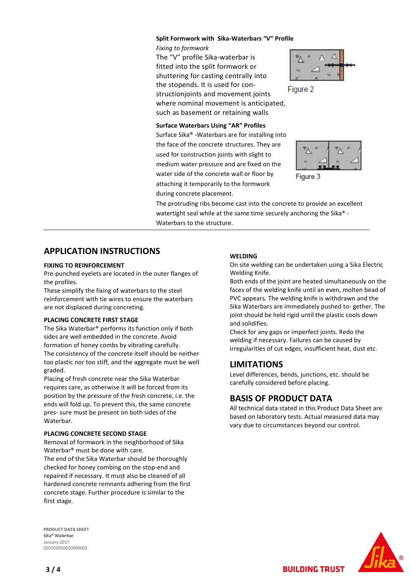#### **Split Formwork with Sika-Waterbars "V" Profile**

*Fixing to formwork* The "V" profile Sika-waterbar is fitted into the split formwork or shuttering for casting centrally into the stopends. It is used for constructionjoints and movement joints where nominal movement is anticipated, such as basement or retaining walls

#### **Surface Waterbars Using "AR" Profiles**

Surface Sika® -Waterbars are for installing into the face of the concrete structures. They are used for construction joints with slight to medium water pressure and are fixed on the water side of the concrete wall or floor by attaching it temporarily to the formwork during concrete placement.



Figure 2



Figure 3

The protruding ribs become cast into the concrete to provide an excellent watertight seal while at the same time securely anchoring the Sika® -Waterbars to the structure.

## **APPLICATION INSTRUCTIONS**

#### **FIXING TO REINFORCEMENT**

Pre-punched eyelets are located in the outer flanges of the profiles.

These simplify the fixing of waterbars to the steel reinforcement with tie wires to ensure the waterbars are not displaced during concreting.

#### **PLACING CONCRETE FIRST STAGE**

The Sika Waterbar® performs its function only if both sides are well embedded in the concrete. Avoid formation of honey combs by vibrating carefully. The consistency of the concrete itself should be neither too plastic nor too stiff, and the aggregate must be well graded.

Placing of fresh concrete near the Sika Waterbar requires care, as otherwise it will be forced from its position by the pressure of the fresh concrete, i.e. the ends will fold up. To prevent this, the same concrete pres- sure must be present on both sides of the Waterbar.

#### **PLACING CONCRETE SECOND STAGE**

Removal of formwork in the neighborhood of Sika Waterbar® must be done with care.

The end of the Sika Waterbar should be thoroughly checked for honey combing on the stop-end and repaired if necessary. It must also be cleaned of all hardened concrete remnants adhering from the first concrete stage. Further procedure is similar to the first stage.

**PRODUCT DATA SHEET** Sika® Waterbar January 2017 020703010020000002

#### **WELDING**

On site welding can be undertaken using a Sika Electric Welding Knife.

Both ends of the joint are heated simultaneously on the faces of the welding knife until an even, molten bead of PVC appears. The welding knife is withdrawn and the Sika Waterbars are immediately pushed to- gether. The joint should be held rigid until the plastic cools down and solidifies.

Check for any gaps or imperfect joints. Redo the welding if necessary. Failures can be caused by irregularities of cut edges, insufficient heat, dust etc.

### **LIMITATIONS**

Level differences, bends, junctions, etc. should be carefully considered before placing.

### **BASIS OF PRODUCT DATA**

All technical data stated in this Product Data Sheet are based on laboratory tests. Actual measured data may vary due to circumstances beyond our control.

**BUILDING TRUST** 



**3 / 4**